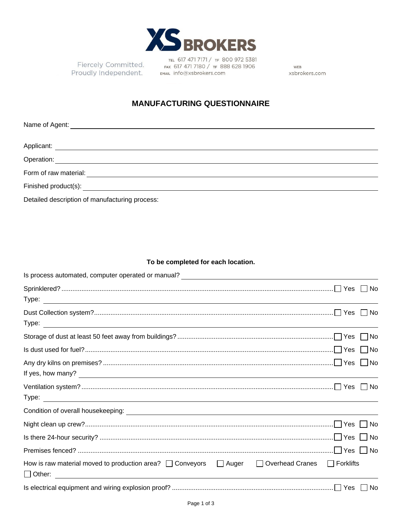

Fiercely Committed. Proudly Independent.

TEL 617 471 7171 / TF 800 972 5381 FAX 617 471 7180 / TF 888 628 1906 EMAIL Info@xsbrokers.com

WEB xsbrokers.com

## **MANUFACTURING QUESTIONNAIRE**

| Form of raw material:                          |
|------------------------------------------------|
|                                                |
| Detailed description of manufacturing process: |

## **To be completed for each location.**

| Is process automated, computer operated or manual?<br><u>Les process automated</u> , computer operated or manual?    |    |
|----------------------------------------------------------------------------------------------------------------------|----|
|                                                                                                                      |    |
|                                                                                                                      |    |
|                                                                                                                      |    |
|                                                                                                                      |    |
|                                                                                                                      |    |
|                                                                                                                      |    |
|                                                                                                                      |    |
| If yes, how many?                                                                                                    |    |
|                                                                                                                      |    |
|                                                                                                                      |    |
|                                                                                                                      |    |
|                                                                                                                      |    |
|                                                                                                                      |    |
|                                                                                                                      |    |
| $\Box$ Forklifts<br>How is raw material moved to production area? $\Box$ Conveyors $\Box$ Auger<br>□ Overhead Cranes |    |
|                                                                                                                      | No |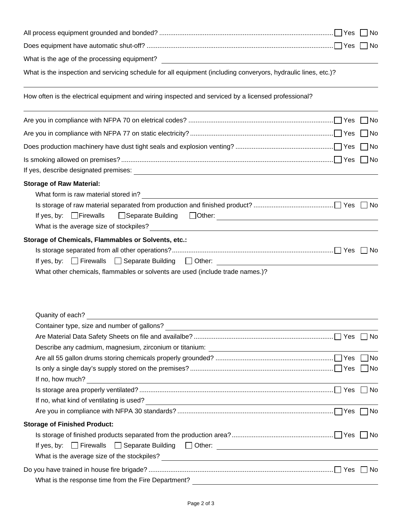|                                                                                                                                                                                                                                                                                 | I No  |
|---------------------------------------------------------------------------------------------------------------------------------------------------------------------------------------------------------------------------------------------------------------------------------|-------|
|                                                                                                                                                                                                                                                                                 | ∣ INo |
|                                                                                                                                                                                                                                                                                 |       |
| What is the inspection and servicing schedule for all equipment (including converyors, hydraulic lines, etc.)?                                                                                                                                                                  |       |
| How often is the electrical equipment and wiring inspected and serviced by a licensed professional?                                                                                                                                                                             |       |
|                                                                                                                                                                                                                                                                                 | No    |
|                                                                                                                                                                                                                                                                                 | ∐ No  |
|                                                                                                                                                                                                                                                                                 | _  No |
|                                                                                                                                                                                                                                                                                 |       |
| <b>Storage of Raw Material:</b>                                                                                                                                                                                                                                                 |       |
| If yes, by: $\Box$ Firewalls                                                                                                                                                                                                                                                    |       |
| Storage of Chemicals, Flammables or Solvents, etc.:<br>$\Box$ Firewalls<br>$\Box$ Separate Building $\Box$ Other:<br>If yes, by:<br><u> 1989 - Johann Barbara, martxa alemaniar amerikan a</u><br>What other chemicals, flammables or solvents are used (include trade names.)? |       |
| Quanity of each?                                                                                                                                                                                                                                                                |       |
|                                                                                                                                                                                                                                                                                 |       |
|                                                                                                                                                                                                                                                                                 |       |
|                                                                                                                                                                                                                                                                                 |       |
|                                                                                                                                                                                                                                                                                 |       |
| If no, how much?<br><u> 1989 - Johann Barn, fransk politik (d. 1989)</u>                                                                                                                                                                                                        |       |
|                                                                                                                                                                                                                                                                                 |       |
| If no, what kind of ventilating is used?<br><u> and</u> the contract of the contract of the contract of the contract of the contract of the contract of the contract of the contract of the contract of the contract of the contract                                            |       |
|                                                                                                                                                                                                                                                                                 |       |
| <b>Storage of Finished Product:</b>                                                                                                                                                                                                                                             |       |
|                                                                                                                                                                                                                                                                                 |       |
| $\Box$ Separate Building $\Box$ Other:<br>$\Box$ Firewalls<br>If yes, by:                                                                                                                                                                                                       |       |
|                                                                                                                                                                                                                                                                                 |       |
|                                                                                                                                                                                                                                                                                 |       |
| What is the response time from the Fire Department?                                                                                                                                                                                                                             |       |